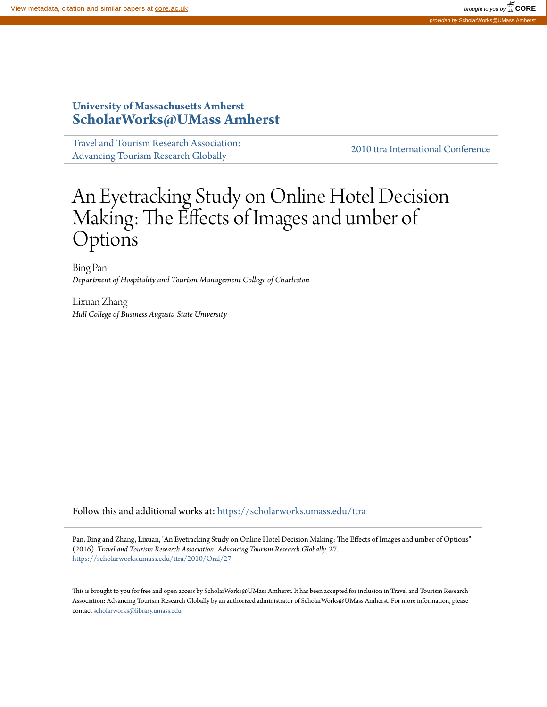# **University of Massachusetts Amherst [ScholarWorks@UMass Amherst](https://scholarworks.umass.edu?utm_source=scholarworks.umass.edu%2Fttra%2F2010%2FOral%2F27&utm_medium=PDF&utm_campaign=PDFCoverPages)**

[Travel and Tourism Research Association:](https://scholarworks.umass.edu/ttra?utm_source=scholarworks.umass.edu%2Fttra%2F2010%2FOral%2F27&utm_medium=PDF&utm_campaign=PDFCoverPages) [Advancing Tourism Research Globally](https://scholarworks.umass.edu/ttra?utm_source=scholarworks.umass.edu%2Fttra%2F2010%2FOral%2F27&utm_medium=PDF&utm_campaign=PDFCoverPages) [2010 ttra International Conference](https://scholarworks.umass.edu/ttra/2010?utm_source=scholarworks.umass.edu%2Fttra%2F2010%2FOral%2F27&utm_medium=PDF&utm_campaign=PDFCoverPages)

# An Eyetracking Study on Online Hotel Decision Making: The Effects of Images and umber of Options

Bing Pan *Department of Hospitality and Tourism Management College of Charleston*

Lixuan Zhang *Hull College of Business Augusta State University*

Follow this and additional works at: [https://scholarworks.umass.edu/ttra](https://scholarworks.umass.edu/ttra?utm_source=scholarworks.umass.edu%2Fttra%2F2010%2FOral%2F27&utm_medium=PDF&utm_campaign=PDFCoverPages)

Pan, Bing and Zhang, Lixuan, "An Eyetracking Study on Online Hotel Decision Making: The Effects of Images and umber of Options" (2016). *Travel and Tourism Research Association: Advancing Tourism Research Globally*. 27. [https://scholarworks.umass.edu/ttra/2010/Oral/27](https://scholarworks.umass.edu/ttra/2010/Oral/27?utm_source=scholarworks.umass.edu%2Fttra%2F2010%2FOral%2F27&utm_medium=PDF&utm_campaign=PDFCoverPages)

This is brought to you for free and open access by ScholarWorks@UMass Amherst. It has been accepted for inclusion in Travel and Tourism Research Association: Advancing Tourism Research Globally by an authorized administrator of ScholarWorks@UMass Amherst. For more information, please contact [scholarworks@library.umass.edu](mailto:scholarworks@library.umass.edu).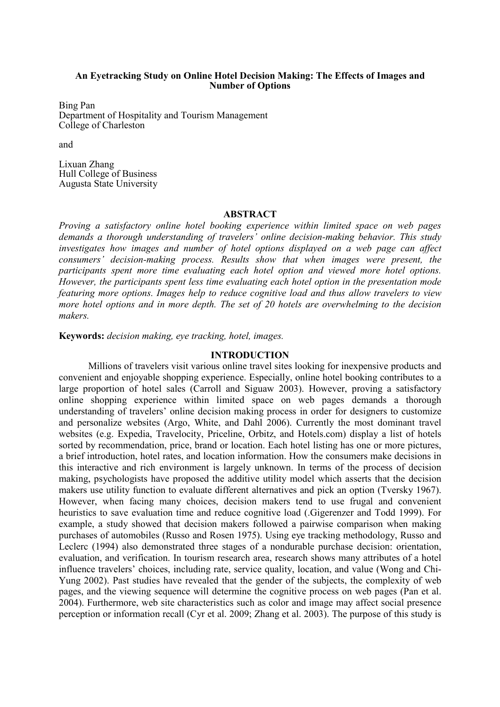#### **An Eyetracking Study on Online Hotel Decision Making: The Effects of Images and umber of Options**

Bing Pan Department of Hospitality and Tourism Management College of Charleston

and

Lixuan Zhang Hull College of Business Augusta State University

#### **ABSTRACT**

*Proving a satisfactory online hotel booking experience within limited space on web pages demands a thorough understanding of travelers' online decision-making behavior. This study investigates how images and number of hotel options displayed on a web page can affect consumers' decision-making process. Results show that when images were present, the participants spent more time evaluating each hotel option and viewed more hotel options. However, the participants spent less time evaluating each hotel option in the presentation mode featuring more options. Images help to reduce cognitive load and thus allow travelers to view more hotel options and in more depth. The set of 20 hotels are overwhelming to the decision makers.* 

**Keywords:** *decision making, eye tracking, hotel, images.*

### **INTRODUCTION**

Millions of travelers visit various online travel sites looking for inexpensive products and convenient and enjoyable shopping experience. Especially, online hotel booking contributes to a large proportion of hotel sales (Carroll and Siguaw 2003). However, proving a satisfactory online shopping experience within limited space on web pages demands a thorough understanding of travelers' online decision making process in order for designers to customize and personalize websites (Argo, White, and Dahl 2006). Currently the most dominant travel websites (e.g. Expedia, Travelocity, Priceline, Orbitz, and Hotels.com) display a list of hotels sorted by recommendation, price, brand or location. Each hotel listing has one or more pictures. a brief introduction, hotel rates, and location information. How the consumers make decisions in this interactive and rich environment is largely unknown. In terms of the process of decision making, psychologists have proposed the additive utility model which asserts that the decision makers use utility function to evaluate different alternatives and pick an option (Tversky 1967). However, when facing many choices, decision makers tend to use frugal and convenient heuristics to save evaluation time and reduce cognitive load (.Gigerenzer and Todd 1999). For example, a study showed that decision makers followed a pairwise comparison when making purchases of automobiles (Russo and Rosen 1975). Using eye tracking methodology, Russo and Leclerc (1994) also demonstrated three stages of a nondurable purchase decision: orientation, evaluation, and verification. In tourism research area, research shows many attributes of a hotel influence travelers' choices, including rate, service quality, location, and value (Wong and Chi-Yung 2002). Past studies have revealed that the gender of the subjects, the complexity of web pages, and the viewing sequence will determine the cognitive process on web pages (Pan et al. 2004). Furthermore, web site characteristics such as color and image may affect social presence perception or information recall (Cyr et al. 2009; Zhang et al. 2003). The purpose of this study is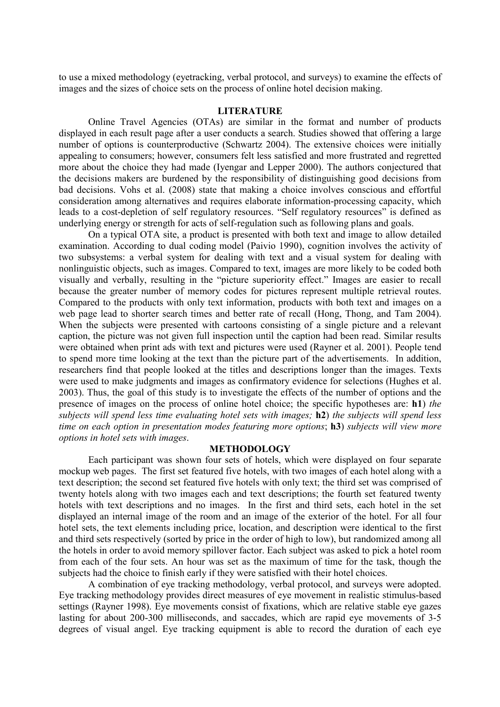to use a mixed methodology (eyetracking, verbal protocol, and surveys) to examine the effects of images and the sizes of choice sets on the process of online hotel decision making.

# **LITERATURE**

Online Travel Agencies (OTAs) are similar in the format and number of products displayed in each result page after a user conducts a search. Studies showed that offering a large number of options is counterproductive (Schwartz 2004). The extensive choices were initially appealing to consumers; however, consumers felt less satisfied and more frustrated and regretted more about the choice they had made (Iyengar and Lepper 2000). The authors conjectured that the decisions makers are burdened by the responsibility of distinguishing good decisions from bad decisions. Vohs et al. (2008) state that making a choice involves conscious and effortful consideration among alternatives and requires elaborate information-processing capacity, which leads to a cost-depletion of self regulatory resources. "Self regulatory resources" is defined as underlying energy or strength for acts of self-regulation such as following plans and goals.

On a typical OTA site, a product is presented with both text and image to allow detailed examination. According to dual coding model (Paivio 1990), cognition involves the activity of two subsystems: a verbal system for dealing with text and a visual system for dealing with nonlinguistic objects, such as images. Compared to text, images are more likely to be coded both visually and verbally, resulting in the "picture superiority effect." Images are easier to recall because the greater number of memory codes for pictures represent multiple retrieval routes. Compared to the products with only text information, products with both text and images on a web page lead to shorter search times and better rate of recall (Hong, Thong, and Tam 2004). When the subjects were presented with cartoons consisting of a single picture and a relevant caption, the picture was not given full inspection until the caption had been read. Similar results were obtained when print ads with text and pictures were used (Rayner et al. 2001). People tend to spend more time looking at the text than the picture part of the advertisements. In addition, researchers find that people looked at the titles and descriptions longer than the images. Texts were used to make judgments and images as confirmatory evidence for selections (Hughes et al. 2003). Thus, the goal of this study is to investigate the effects of the number of options and the presence of images on the process of online hotel choice; the specific hypotheses are: **h1**) *the subjects will spend less time evaluating hotel sets with images;* **h2**) *the subjects will spend less time on each option in presentation modes featuring more options*; **h3**) *subjects will view more options in hotel sets with images*.

# **METHODOLOGY**

 Each participant was shown four sets of hotels, which were displayed on four separate mockup web pages. The first set featured five hotels, with two images of each hotel along with a text description; the second set featured five hotels with only text; the third set was comprised of twenty hotels along with two images each and text descriptions; the fourth set featured twenty hotels with text descriptions and no images. In the first and third sets, each hotel in the set displayed an internal image of the room and an image of the exterior of the hotel. For all four hotel sets, the text elements including price, location, and description were identical to the first and third sets respectively (sorted by price in the order of high to low), but randomized among all the hotels in order to avoid memory spillover factor. Each subject was asked to pick a hotel room from each of the four sets. An hour was set as the maximum of time for the task, though the subjects had the choice to finish early if they were satisfied with their hotel choices.

A combination of eye tracking methodology, verbal protocol, and surveys were adopted. Eye tracking methodology provides direct measures of eye movement in realistic stimulus-based settings (Rayner 1998). Eye movements consist of fixations, which are relative stable eye gazes lasting for about 200-300 milliseconds, and saccades, which are rapid eye movements of 3-5 degrees of visual angel. Eye tracking equipment is able to record the duration of each eye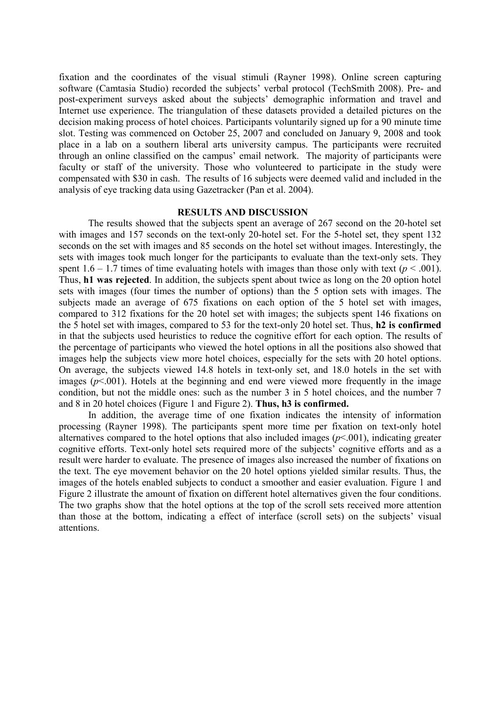fixation and the coordinates of the visual stimuli (Rayner 1998). Online screen capturing software (Camtasia Studio) recorded the subjects' verbal protocol (TechSmith 2008). Pre- and post-experiment surveys asked about the subjects' demographic information and travel and Internet use experience. The triangulation of these datasets provided a detailed pictures on the decision making process of hotel choices. Participants voluntarily signed up for a 90 minute time slot. Testing was commenced on October 25, 2007 and concluded on January 9, 2008 and took place in a lab on a southern liberal arts university campus. The participants were recruited through an online classified on the campus' email network. The majority of participants were faculty or staff of the university. Those who volunteered to participate in the study were compensated with \$30 in cash. The results of 16 subjects were deemed valid and included in the analysis of eye tracking data using Gazetracker (Pan et al. 2004).

#### **RESULTS AND DISCUSSION**

The results showed that the subjects spent an average of 267 second on the 20-hotel set with images and 157 seconds on the text-only 20-hotel set. For the 5-hotel set, they spent 132 seconds on the set with images and 85 seconds on the hotel set without images. Interestingly, the sets with images took much longer for the participants to evaluate than the text-only sets. They spent  $1.6 - 1.7$  times of time evaluating hotels with images than those only with text ( $p < .001$ ). Thus, **h1 was rejected**. In addition, the subjects spent about twice as long on the 20 option hotel sets with images (four times the number of options) than the 5 option sets with images. The subjects made an average of 675 fixations on each option of the 5 hotel set with images, compared to 312 fixations for the 20 hotel set with images; the subjects spent 146 fixations on the 5 hotel set with images, compared to 53 for the text-only 20 hotel set. Thus, **h2 is confirmed** in that the subjects used heuristics to reduce the cognitive effort for each option. The results of the percentage of participants who viewed the hotel options in all the positions also showed that images help the subjects view more hotel choices, especially for the sets with 20 hotel options. On average, the subjects viewed 14.8 hotels in text-only set, and 18.0 hotels in the set with images  $(p<.001)$ . Hotels at the beginning and end were viewed more frequently in the image condition, but not the middle ones: such as the number 3 in 5 hotel choices, and the number 7 and 8 in 20 hotel choices (Figure 1 and Figure 2). **Thus, h3 is confirmed.**

In addition, the average time of one fixation indicates the intensity of information processing (Rayner 1998). The participants spent more time per fixation on text-only hotel alternatives compared to the hotel options that also included images  $(p<.001)$ , indicating greater cognitive efforts. Text-only hotel sets required more of the subjects' cognitive efforts and as a result were harder to evaluate. The presence of images also increased the number of fixations on the text. The eye movement behavior on the 20 hotel options yielded similar results. Thus, the images of the hotels enabled subjects to conduct a smoother and easier evaluation. Figure 1 and Figure 2 illustrate the amount of fixation on different hotel alternatives given the four conditions. The two graphs show that the hotel options at the top of the scroll sets received more attention than those at the bottom, indicating a effect of interface (scroll sets) on the subjects' visual attentions.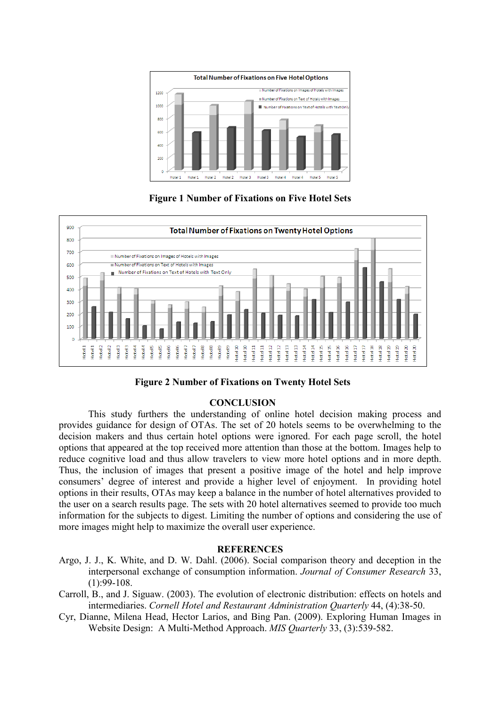

**Figure 1 Number of Fixations on Five Hotel Sets** 



**Figure 2 Number of Fixations on Twenty Hotel Sets** 

# **CONCLUSION**

This study furthers the understanding of online hotel decision making process and provides guidance for design of OTAs. The set of 20 hotels seems to be overwhelming to the decision makers and thus certain hotel options were ignored. For each page scroll, the hotel options that appeared at the top received more attention than those at the bottom. Images help to reduce cognitive load and thus allow travelers to view more hotel options and in more depth. Thus, the inclusion of images that present a positive image of the hotel and help improve consumers' degree of interest and provide a higher level of enjoyment. In providing hotel options in their results, OTAs may keep a balance in the number of hotel alternatives provided to the user on a search results page. The sets with 20 hotel alternatives seemed to provide too much information for the subjects to digest. Limiting the number of options and considering the use of more images might help to maximize the overall user experience.

## **REFERECES**

- Argo, J. J., K. White, and D. W. Dahl. (2006). Social comparison theory and deception in the interpersonal exchange of consumption information. *Journal of Consumer Research* 33,  $(1):99-108.$
- Carroll, B., and J. Siguaw. (2003). The evolution of electronic distribution: effects on hotels and intermediaries. *Cornell Hotel and Restaurant Administration Quarterly* 44, (4):38-50.
- Cyr, Dianne, Milena Head, Hector Larios, and Bing Pan. (2009). Exploring Human Images in Website Design: A Multi-Method Approach. *MIS Quarterly* 33, (3):539-582.